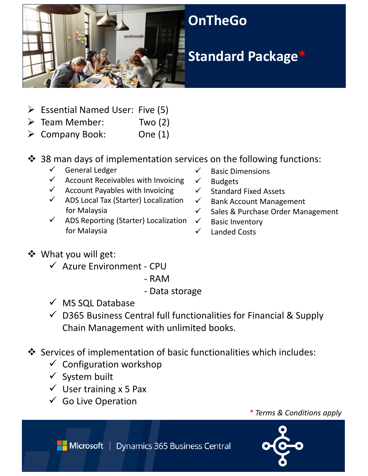

- $\triangleright$  Essential Named User: Five (5)
- $\triangleright$  Team Member: Two (2)
- $\triangleright$  Company Book: One (1)
- ❖ 38 man days of implementation services on the following functions:
	- $\checkmark$  General Ledger
	- $\checkmark$  Account Receivables with Invoicing
	- $\checkmark$  Account Payables with Invoicing
	- $\checkmark$  ADS Local Tax (Starter) Localization for Malaysia
	- $\checkmark$  ADS Reporting (Starter) Localization for Malaysia
- $\checkmark$  Basic Dimensions
- $\checkmark$  Budgets
- $\checkmark$  Standard Fixed Assets
- $\checkmark$  Bank Account Management
- $\checkmark$  Sales & Purchase Order Management
- $\checkmark$  Basic Inventory
- $\checkmark$  Landed Costs

- What you will get:
	- $\checkmark$  Azure Environment CPU
		- ‐ RAM
		- ‐ Data storage
	- $\checkmark$  MS SQL Database
	- $\checkmark$  D365 Business Central full functionalities for Financial & Supply Chain Management with unlimited books.
- Services of implementation of basic functionalities which includes:
	- $\checkmark$  Configuration workshop
	- $\checkmark$  System built
	- $\checkmark$  User training x 5 Pax
	- $\checkmark$  Go Live Operation

*\* Terms & Conditions apply*



Microsoft | Dynamics 365 Business Central